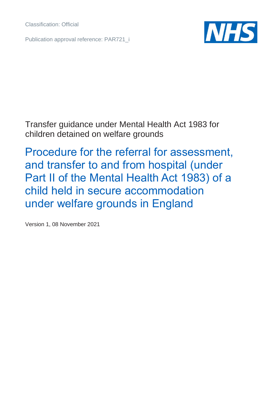Classification: Official

Publication approval reference: PAR721\_i



Transfer guidance under Mental Health Act 1983 for children detained on welfare grounds

Procedure for the referral for assessment, and transfer to and from hospital (under Part II of the Mental Health Act 1983) of a child held in secure accommodation under welfare grounds in England

Version 1, 08 November 2021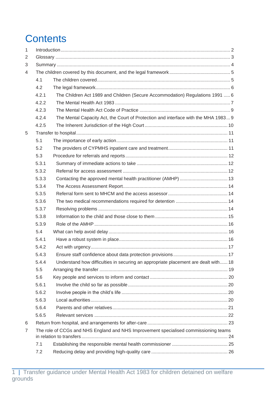# **Contents**

| $\mathbf{1}$   |                                                                                      |                                                                                    |  |  |
|----------------|--------------------------------------------------------------------------------------|------------------------------------------------------------------------------------|--|--|
| 2              |                                                                                      |                                                                                    |  |  |
| 3              |                                                                                      |                                                                                    |  |  |
| 4              |                                                                                      |                                                                                    |  |  |
|                | 4.1                                                                                  |                                                                                    |  |  |
|                | 4.2                                                                                  |                                                                                    |  |  |
|                | 4.2.1                                                                                | The Children Act 1989 and Children (Secure Accommodation) Regulations 1991  6      |  |  |
|                | 4.2.2                                                                                |                                                                                    |  |  |
|                | 4.2.3                                                                                |                                                                                    |  |  |
|                | 4.2.4                                                                                | The Mental Capacity Act, the Court of Protection and interface with the MHA 1983 9 |  |  |
|                | 4.2.5                                                                                |                                                                                    |  |  |
| 5              |                                                                                      |                                                                                    |  |  |
|                | 5.1                                                                                  |                                                                                    |  |  |
|                | 5.2                                                                                  |                                                                                    |  |  |
|                | 5.3                                                                                  |                                                                                    |  |  |
|                | 5.3.1                                                                                |                                                                                    |  |  |
|                | 5.3.2                                                                                |                                                                                    |  |  |
|                | 5.3.3                                                                                |                                                                                    |  |  |
|                | 5.3.4                                                                                |                                                                                    |  |  |
|                | 5.3.5                                                                                |                                                                                    |  |  |
|                | 5.3.6                                                                                |                                                                                    |  |  |
|                | 5.3.7                                                                                |                                                                                    |  |  |
|                | 5.3.8                                                                                |                                                                                    |  |  |
|                | 5.3.9                                                                                |                                                                                    |  |  |
|                | 5.4                                                                                  |                                                                                    |  |  |
|                | 5.4.1                                                                                |                                                                                    |  |  |
|                | 5.4.2                                                                                |                                                                                    |  |  |
|                | 5.4.3                                                                                |                                                                                    |  |  |
|                | 5.4.4                                                                                | Understand how difficulties in securing an appropriate placement are dealt with 18 |  |  |
|                | 5.5                                                                                  |                                                                                    |  |  |
|                | 5.6                                                                                  |                                                                                    |  |  |
|                | 5.6.1                                                                                |                                                                                    |  |  |
|                | 5.6.2                                                                                |                                                                                    |  |  |
|                | 5.6.3                                                                                |                                                                                    |  |  |
|                | 5.6.4                                                                                |                                                                                    |  |  |
|                | 5.6.5                                                                                |                                                                                    |  |  |
| 6              |                                                                                      |                                                                                    |  |  |
| $\overline{7}$ | The role of CCGs and NHS England and NHS Improvement specialised commissioning teams |                                                                                    |  |  |
|                |                                                                                      |                                                                                    |  |  |
|                | 7.1                                                                                  |                                                                                    |  |  |
|                | 7.2                                                                                  |                                                                                    |  |  |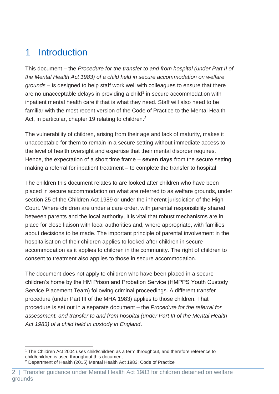# <span id="page-2-0"></span>1 Introduction

This document – the *Procedure for the transfer to and from hospital (under Part II of the Mental Health Act 1983) of a child held in secure accommodation on welfare grounds* – is designed to help staff work well with colleagues to ensure that there are no unacceptable delays in providing a child<sup>1</sup> in secure accommodation with inpatient mental health care if that is what they need. Staff will also need to be familiar with the most recent version of the Code of Practice to the Mental Health Act, in particular, chapter 19 relating to children.<sup>2</sup>

The vulnerability of children, arising from their age and lack of maturity, makes it unacceptable for them to remain in a secure setting without immediate access to the level of health oversight and expertise that their mental disorder requires. Hence, the expectation of a short time frame – **seven days** from the secure setting making a referral for inpatient treatment – to complete the transfer to hospital.

The children this document relates to are looked after children who have been placed in secure accommodation on what are referred to as welfare grounds, under section 25 of the Children Act 1989 or under the inherent jurisdiction of the High Court. Where children are under a care order, with parental responsibility shared between parents and the local authority, it is vital that robust mechanisms are in place for close liaison with local authorities and, where appropriate, with families about decisions to be made. The important principle of parental involvement in the hospitalisation of their children applies to looked after children in secure accommodation as it applies to children in the community. The right of children to consent to treatment also applies to those in secure accommodation.

The document does not apply to children who have been placed in a secure children's home by the HM Prison and Probation Service (HMPPS Youth Custody Service Placement Team) following criminal proceedings. A different transfer procedure (under Part III of the MHA 1983) applies to those children. That procedure is set out in a separate document – the *Procedure for the referral for assessment, and transfer to and from hospital (under Part III of the Mental Health Act 1983) of a child held in custody in England*.

<sup>1</sup> The Children Act 2004 uses child/children as a term throughout, and therefore reference to child/children is used throughout this document.

<sup>2</sup> Department of Health (2015) Mental Health Act 1983: Code of Practice

Transfer guidance under Mental Health Act 1983 for children detained on welfare grounds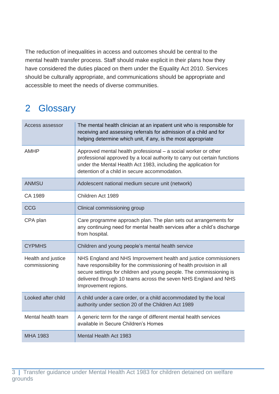The reduction of inequalities in access and outcomes should be central to the mental health transfer process. Staff should make explicit in their plans how they have considered the duties placed on them under the Equality Act 2010. Services should be culturally appropriate, and communications should be appropriate and accessible to meet the needs of diverse communities.

# <span id="page-3-0"></span>2 Glossary

| Access assessor                     | The mental health clinician at an inpatient unit who is responsible for<br>receiving and assessing referrals for admission of a child and for<br>helping determine which unit, if any, is the most appropriate                                                                                             |
|-------------------------------------|------------------------------------------------------------------------------------------------------------------------------------------------------------------------------------------------------------------------------------------------------------------------------------------------------------|
| <b>AMHP</b>                         | Approved mental health professional - a social worker or other<br>professional approved by a local authority to carry out certain functions<br>under the Mental Health Act 1983, including the application for<br>detention of a child in secure accommodation.                                            |
| <b>ANMSU</b>                        | Adolescent national medium secure unit (network)                                                                                                                                                                                                                                                           |
| CA 1989                             | Children Act 1989                                                                                                                                                                                                                                                                                          |
| <b>CCG</b>                          | Clinical commissioning group                                                                                                                                                                                                                                                                               |
| CPA plan                            | Care programme approach plan. The plan sets out arrangements for<br>any continuing need for mental health services after a child's discharge<br>from hospital.                                                                                                                                             |
| <b>CYPMHS</b>                       | Children and young people's mental health service                                                                                                                                                                                                                                                          |
| Health and justice<br>commissioning | NHS England and NHS Improvement health and justice commissioners<br>have responsibility for the commissioning of health provision in all<br>secure settings for children and young people. The commissioning is<br>delivered through 10 teams across the seven NHS England and NHS<br>Improvement regions. |
| Looked after child                  | A child under a care order, or a child accommodated by the local<br>authority under section 20 of the Children Act 1989                                                                                                                                                                                    |
| Mental health team                  | A generic term for the range of different mental health services<br>available in Secure Children's Homes                                                                                                                                                                                                   |
| <b>MHA 1983</b>                     | <b>Mental Health Act 1983</b>                                                                                                                                                                                                                                                                              |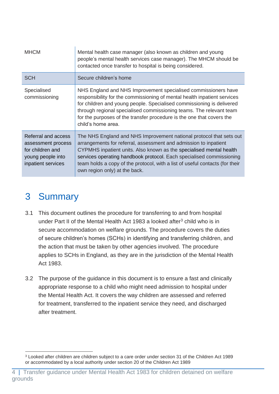| <b>MHCM</b>                                                                                              | Mental health case manager (also known as children and young<br>people's mental health services case manager). The MHCM should be<br>contacted once transfer to hospital is being considered.                                                                                                                                                                                                           |
|----------------------------------------------------------------------------------------------------------|---------------------------------------------------------------------------------------------------------------------------------------------------------------------------------------------------------------------------------------------------------------------------------------------------------------------------------------------------------------------------------------------------------|
| <b>SCH</b>                                                                                               | Secure children's home                                                                                                                                                                                                                                                                                                                                                                                  |
| Specialised<br>commissioning                                                                             | NHS England and NHS Improvement specialised commissioners have<br>responsibility for the commissioning of mental health inpatient services<br>for children and young people. Specialised commissioning is delivered<br>through regional specialised commissioning teams. The relevant team<br>for the purposes of the transfer procedure is the one that covers the<br>child's home area.               |
| Referral and access<br>assessment process<br>for children and<br>young people into<br>inpatient services | The NHS England and NHS Improvement national protocol that sets out<br>arrangements for referral, assessment and admission to inpatient<br>CYPMHS inpatient units. Also known as the specialised mental health<br>services operating handbook protocol. Each specialised commissioning<br>team holds a copy of the protocol, with a list of useful contacts (for their<br>own region only) at the back. |

# <span id="page-4-0"></span>3 Summary

- 3.1 This document outlines the procedure for transferring to and from hospital under Part II of the Mental Health Act 1983 a looked after<sup>3</sup> child who is in secure accommodation on welfare grounds. The procedure covers the duties of secure children's homes (SCHs) in identifying and transferring children, and the action that must be taken by other agencies involved. The procedure applies to SCHs in England, as they are in the jurisdiction of the Mental Health Act 1983.
- 3.2 The purpose of the guidance in this document is to ensure a fast and clinically appropriate response to a child who might need admission to hospital under the Mental Health Act. It covers the way children are assessed and referred for treatment, transferred to the inpatient service they need, and discharged after treatment.

<sup>3</sup> Looked after children are children subject to a care order under section 31 of the Children Act 1989 or accommodated by a local authority under section 20 of the Children Act 1989

<sup>4 |</sup> Transfer guidance under Mental Health Act 1983 for children detained on welfare grounds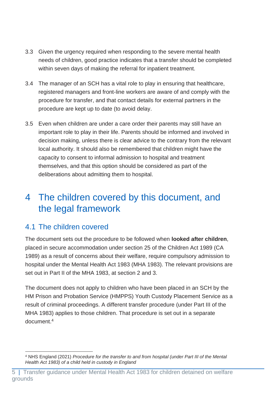- 3.3 Given the urgency required when responding to the severe mental health needs of children, good practice indicates that a transfer should be completed within seven days of making the referral for inpatient treatment.
- 3.4 The manager of an SCH has a vital role to play in ensuring that healthcare, registered managers and front-line workers are aware of and comply with the procedure for transfer, and that contact details for external partners in the procedure are kept up to date (to avoid delay.
- 3.5 Even when children are under a care order their parents may still have an important role to play in their life. Parents should be informed and involved in decision making, unless there is clear advice to the contrary from the relevant local authority. It should also be remembered that children might have the capacity to consent to informal admission to hospital and treatment themselves, and that this option should be considered as part of the deliberations about admitting them to hospital.

# <span id="page-5-0"></span>4 The children covered by this document, and the legal framework

## <span id="page-5-1"></span>4.1 The children covered

The document sets out the procedure to be followed when **looked after children**, placed in secure accommodation under section 25 of the Children Act 1989 (CA 1989) as a result of concerns about their welfare, require compulsory admission to hospital under the Mental Health Act 1983 (MHA 1983). The relevant provisions are set out in Part II of the MHA 1983, at section 2 and 3.

The document does not apply to children who have been placed in an SCH by the HM Prison and Probation Service (HMPPS) Youth Custody Placement Service as a result of criminal proceedings. A different transfer procedure (under Part III of the MHA 1983) applies to those children. That procedure is set out in a separate document. 4

<sup>4</sup> NHS England (2021) *Procedure for the transfer to and from hospital (under Part III of the Mental Health Act 1983) of a child held in custody in England*

Transfer guidance under Mental Health Act 1983 for children detained on welfare grounds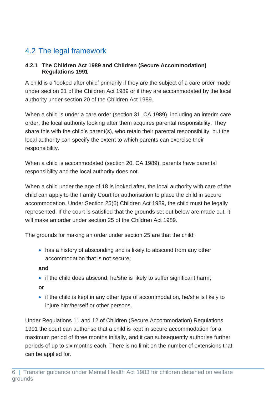# <span id="page-6-0"></span>4.2 The legal framework

#### <span id="page-6-1"></span>**4.2.1 The Children Act 1989 and Children (Secure Accommodation) Regulations 1991**

A child is a 'looked after child' primarily if they are the subject of a care order made under section 31 of the Children Act 1989 or if they are accommodated by the local authority under section 20 of the Children Act 1989.

When a child is under a care order (section 31, CA 1989), including an interim care order, the local authority looking after them acquires parental responsibility. They share this with the child's parent(s), who retain their parental responsibility, but the local authority can specify the extent to which parents can exercise their responsibility.

When a child is accommodated (section 20, CA 1989), parents have parental responsibility and the local authority does not.

When a child under the age of 18 is looked after, the local authority with care of the child can apply to the Family Court for authorisation to place the child in secure accommodation. Under Section 25(6) Children Act 1989, the child must be legally represented. If the court is satisfied that the grounds set out below are made out, it will make an order under section 25 of the Children Act 1989.

The grounds for making an order under section 25 are that the child:

• has a history of absconding and is likely to abscond from any other accommodation that is not secure;

#### **and**

• if the child does abscond, he/she is likely to suffer significant harm;

#### **or**

• if the child is kept in any other type of accommodation, he/she is likely to injure him/herself or other persons.

Under Regulations 11 and 12 of Children (Secure Accommodation) Regulations 1991 the court can authorise that a child is kept in secure accommodation for a maximum period of three months initially, and it can subsequently authorise further periods of up to six months each. There is no limit on the number of extensions that can be applied for.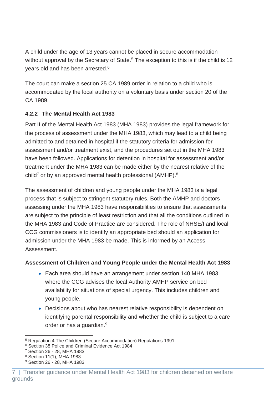A child under the age of 13 years cannot be placed in secure accommodation without approval by the Secretary of State.<sup>5</sup> The exception to this is if the child is 12 years old and has been arrested. 6

The court can make a section 25 CA 1989 order in relation to a child who is accommodated by the local authority on a voluntary basis under section 20 of the CA 1989.

### <span id="page-7-0"></span>**4.2.2 The Mental Health Act 1983**

Part II of the Mental Health Act 1983 (MHA 1983) provides the legal framework for the process of assessment under the MHA 1983, which may lead to a child being admitted to and detained in hospital if the statutory criteria for admission for assessment and/or treatment exist, and the procedures set out in the MHA 1983 have been followed. Applications for detention in hospital for assessment and/or treatment under the MHA 1983 can be made either by the nearest relative of the child<sup>7</sup> or by an approved mental health professional (AMHP).<sup>8</sup>

The assessment of children and young people under the MHA 1983 is a legal process that is subject to stringent statutory rules. Both the AMHP and doctors assessing under the MHA 1983 have responsibilities to ensure that assessments are subject to the principle of least restriction and that all the conditions outlined in the MHA 1983 and Code of Practice are considered. The role of NHSE/I and local CCG commissioners is to identify an appropriate bed should an application for admission under the MHA 1983 be made. This is informed by an Access Assessment.

## **Assessment of Children and Young People under the Mental Health Act 1983**

- Each area should have an arrangement under section 140 MHA 1983 where the CCG advises the local Authority AMHP service on bed availability for situations of special urgency. This includes children and young people.
- Decisions about who has nearest relative responsibility is dependent on identifying parental responsibility and whether the child is subject to a care order or has a guardian.<sup>9</sup>

<sup>5</sup> Regulation 4 The Children (Secure Accommodation) Regulations 1991

<sup>6</sup> Section 38 Police and Criminal Evidence Act 1984

<sup>7</sup> Section 26 - 28, MHA 1983

<sup>8</sup> Section 11(1), MHA 1983

<sup>9</sup> Section 26 - 28, MHA 1983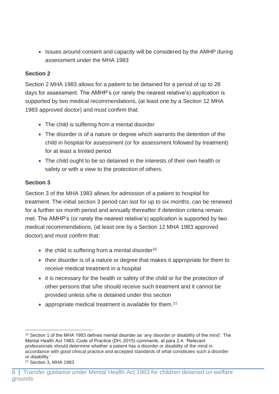• Issues around consent and capacity will be considered by the AMHP during assessment under the MHA 1983

#### **Section 2**

Section 2 MHA 1983 allows for a patient to be detained for a period of up to 28 days for assessment. The AMHP's (or rarely the nearest relative's) application is supported by two medical recommendations, (at least one by a Section 12 MHA 1983 approved doctor) and must confirm that:

- The child is suffering from a mental disorder
- The disorder is of a nature or degree which warrants the detention of the child in hospital for assessment (or for assessment followed by treatment) for at least a limited period
- The child ought to be so detained in the interests of their own health or safety or with a view to the protection of others.

#### **Section 3**

Section 3 of the MHA 1983 allows for admission of a patient to hospital for treatment. The initial section 3 period can last for up to six months, can be renewed for a further six month period and annually thereafter if detention criteria remain met. The AMHP's (or rarely the nearest relative's) application is supported by two medical recommendations, (at least one by a Section 12 MHA 1983 approved doctor) and must confirm that:

- $\bullet$  the child is suffering from a mental disorder<sup>10</sup>
- their disorder is of a nature or degree that makes it appropriate for them to receive medical treatment in a hospital
- it is necessary for the health or safety of the child or for the protection of other persons that s/he should receive such treatment and it cannot be provided unless s/he is detained under this section
- appropriate medical treatment is available for them.<sup>11</sup>

<sup>10</sup> Section 1 of the MHA 1983 defines mental disorder as 'any disorder or disability of the mind'. The Mental Health Act 1983: Code of Practice (DH, 2015) comments, at para 2.4: 'Relevant professionals should determine whether a patient has a disorder or disability of the mind in accordance with good clinical practice and accepted standards of what constitutes such a disorder or disability.'

<sup>11</sup> Section 3, MHA 1983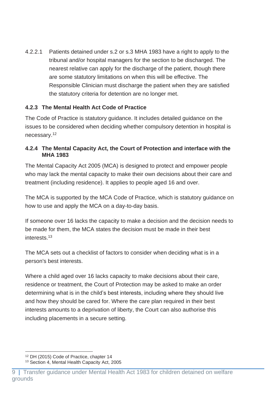4.2.2.1 Patients detained under s.2 or s.3 MHA 1983 have a right to apply to the tribunal and/or hospital managers for the section to be discharged. The nearest relative can apply for the discharge of the patient, though there are some statutory limitations on when this will be effective. The Responsible Clinician must discharge the patient when they are satisfied the statutory criteria for detention are no longer met.

### <span id="page-9-0"></span>**4.2.3 The Mental Health Act Code of Practice**

The Code of Practice is statutory guidance. It includes detailed guidance on the issues to be considered when deciding whether compulsory detention in hospital is necessary.<sup>12</sup>

#### <span id="page-9-1"></span>**4.2.4 The Mental Capacity Act, the Court of Protection and interface with the MHA 1983**

The Mental Capacity Act 2005 (MCA) is designed to protect and empower people who may lack the mental capacity to make their own decisions about their care and treatment (including residence). It applies to people aged 16 and over.

The MCA is supported by the MCA Code of Practice, which is statutory guidance on how to use and apply the MCA on a day-to-day basis.

If someone over 16 lacks the capacity to make a decision and the decision needs to be made for them, the MCA states the decision must be made in their best interests.<sup>13</sup>

The MCA sets out a checklist of factors to consider when deciding what is in a person's best interests.

Where a child aged over 16 lacks capacity to make decisions about their care, residence or treatment, the Court of Protection may be asked to make an order determining what is in the child's best interests, including where they should live and how they should be cared for. Where the care plan required in their best interests amounts to a deprivation of liberty, the Court can also authorise this including placements in a secure setting.

<sup>12</sup> DH (2015) Code of Practice, chapter 14

<sup>13</sup> Section 4, Mental Health Capacity Act, 2005

Transfer guidance under Mental Health Act 1983 for children detained on welfare grounds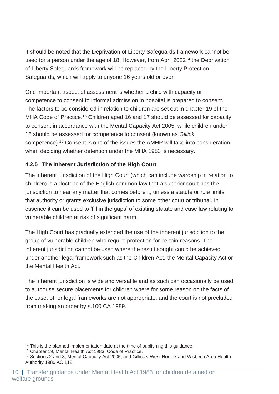It should be noted that the Deprivation of Liberty Safeguards framework cannot be used for a person under the age of 18. However, from April 2022<sup>14</sup> the Deprivation of Liberty Safeguards framework will be replaced by the Liberty Protection Safeguards, which will apply to anyone 16 years old or over.

One important aspect of assessment is whether a child with capacity or competence to consent to informal admission in hospital is prepared to consent. The factors to be considered in relation to children are set out in chapter 19 of the MHA Code of Practice.<sup>15</sup> Children aged 16 and 17 should be assessed for capacity to consent in accordance with the Mental Capacity Act 2005, while children under 16 should be assessed for competence to consent (known as *Gillick* competence). <sup>16</sup> Consent is one of the issues the AMHP will take into consideration when deciding whether detention under the MHA 1983 is necessary.

## <span id="page-10-0"></span>**4.2.5 The Inherent Jurisdiction of the High Court**

The inherent jurisdiction of the High Court (which can include wardship in relation to children) is a doctrine of the English common law that a superior court has the jurisdiction to hear any matter that comes before it, unless a statute or rule limits that authority or grants exclusive jurisdiction to some other court or tribunal. In essence it can be used to 'fill in the gaps' of existing statute and case law relating to vulnerable children at risk of significant harm.

The High Court has gradually extended the use of the inherent jurisdiction to the group of vulnerable children who require protection for certain reasons. The inherent jurisdiction cannot be used where the result sought could be achieved under another legal framework such as the Children Act, the Mental Capacity Act or the Mental Health Act.

The inherent jurisdiction is wide and versatile and as such can occasionally be used to authorise secure placements for children where for some reason on the facts of the case, other legal frameworks are not appropriate, and the court is not precluded from making an order by s.100 CA 1989.

<sup>&</sup>lt;sup>14</sup> This is the planned implementation date at the time of publishing this quidance.

<sup>15</sup> Chapter 19, Mental Health Act 1983; Code of Practice.

<sup>16</sup> Sections 2 and 3, Mental Capacity Act 2005; and Gillick v West Norfolk and Wisbech Area Health Authority 1986 AC 112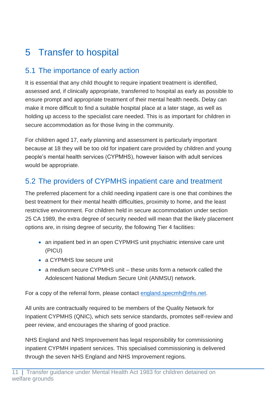# <span id="page-11-0"></span>5 Transfer to hospital

# <span id="page-11-1"></span>5.1 The importance of early action

It is essential that any child thought to require inpatient treatment is identified, assessed and, if clinically appropriate, transferred to hospital as early as possible to ensure prompt and appropriate treatment of their mental health needs. Delay can make it more difficult to find a suitable hospital place at a later stage, as well as holding up access to the specialist care needed. This is as important for children in secure accommodation as for those living in the community.

For children aged 17, early planning and assessment is particularly important because at 18 they will be too old for inpatient care provided by children and young people's mental health services (CYPMHS), however liaison with adult services would be appropriate.

# <span id="page-11-2"></span>5.2 The providers of CYPMHS inpatient care and treatment

The preferred placement for a child needing inpatient care is one that combines the best treatment for their mental health difficulties, proximity to home, and the least restrictive environment. For children held in secure accommodation under section 25 CA 1989, the extra degree of security needed will mean that the likely placement options are, in rising degree of security, the following Tier 4 facilities:

- an inpatient bed in an open CYPMHS unit psychiatric intensive care unit (PICU)
- a CYPMHS low secure unit
- a medium secure CYPMHS unit these units form a network called the Adolescent National Medium Secure Unit (ANMSU) network.

For a copy of the referral form, please contact [england.specmh@nhs.net.](mailto:england.specmh@nhs.net)

All units are contractually required to be members of the Quality Network for Inpatient CYPMHS (QNIC), which sets service standards, promotes self-review and peer review, and encourages the sharing of good practice.

NHS England and NHS Improvement has legal responsibility for commissioning inpatient CYPMH inpatient services. This specialised commissioning is delivered through the seven NHS England and NHS Improvement regions.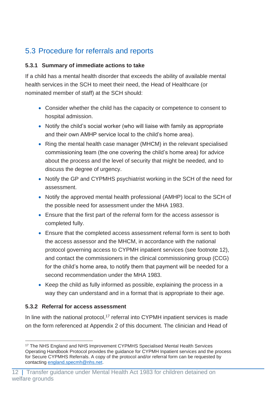# <span id="page-12-0"></span>5.3 Procedure for referrals and reports

#### <span id="page-12-1"></span>**5.3.1 Summary of immediate actions to take**

If a child has a mental health disorder that exceeds the ability of available mental health services in the SCH to meet their need, the Head of Healthcare (or nominated member of staff) at the SCH should:

- Consider whether the child has the capacity or competence to consent to hospital admission.
- Notify the child's social worker (who will liaise with family as appropriate and their own AMHP service local to the child's home area).
- Ring the mental health case manager (MHCM) in the relevant specialised commissioning team (the one covering the child's home area) for advice about the process and the level of security that might be needed, and to discuss the degree of urgency.
- Notify the GP and CYPMHS psychiatrist working in the SCH of the need for assessment.
- Notify the approved mental health professional (AMHP) local to the SCH of the possible need for assessment under the MHA 1983.
- Ensure that the first part of the referral form for the access assessor is completed fully.
- Ensure that the completed access assessment referral form is sent to both the access assessor and the MHCM, in accordance with the national protocol governing access to CYPMH inpatient services (see footnote 12), and contact the commissioners in the clinical commissioning group (CCG) for the child's home area, to notify them that payment will be needed for a second recommendation under the MHA 1983.
- Keep the child as fully informed as possible, explaining the process in a way they can understand and in a format that is appropriate to their age.

#### <span id="page-12-2"></span>**5.3.2 Referral for access assessment**

In line with the national protocol,<sup>17</sup> referral into CYPMH inpatient services is made on the form referenced at Appendix 2 of this document. The clinician and Head of

<sup>17</sup> The NHS England and NHS Improvement CYPMHS Specialised Mental Health Services Operating Handbook Protocol provides the guidance for CYPMH Inpatient services and the process for Secure CYPMHS Referrals. A copy of the protocol and/or referral form can be requested by contacting [england.specmh@nhs.net.](mailto:england.specmh@nhs.net)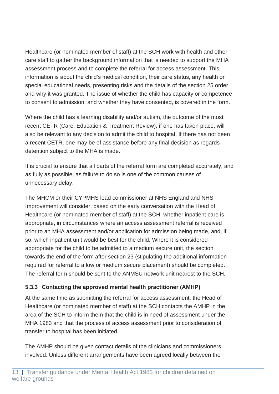Healthcare (or nominated member of staff) at the SCH work with health and other care staff to gather the background information that is needed to support the MHA assessment process and to complete the referral for access assessment. This information is about the child's medical condition, their care status, any health or special educational needs, presenting risks and the details of the section 25 order and why it was granted. The issue of whether the child has capacity or competence to consent to admission, and whether they have consented, is covered in the form.

Where the child has a learning disability and/or autism, the outcome of the most recent CETR (Care, Education & Treatment Review), if one has taken place, will also be relevant to any decision to admit the child to hospital. If there has not been a recent CETR, one may be of assistance before any final decision as regards detention subject to the MHA is made.

It is crucial to ensure that all parts of the referral form are completed accurately, and as fully as possible, as failure to do so is one of the common causes of unnecessary delay.

The MHCM or their CYPMHS lead commissioner at NHS England and NHS Improvement will consider, based on the early conversation with the Head of Healthcare (or nominated member of staff) at the SCH, whether inpatient care is appropriate, in circumstances where an access assessment referral is received prior to an MHA assessment and/or application for admission being made, and, if so, which inpatient unit would be best for the child. Where it is considered appropriate for the child to be admitted to a medium secure unit, the section towards the end of the form after section 23 (stipulating the additional information required for referral to a low or medium secure placement) should be completed. The referral form should be sent to the ANMSU network unit nearest to the SCH.

## <span id="page-13-0"></span>**5.3.3 Contacting the approved mental health practitioner (AMHP)**

At the same time as submitting the referral for access assessment, the Head of Healthcare (or nominated member of staff) at the SCH contacts the AMHP in the area of the SCH to inform them that the child is in need of assessment under the MHA 1983 and that the process of access assessment prior to consideration of transfer to hospital has been initiated.

The AMHP should be given contact details of the clinicians and commissioners involved. Unless different arrangements have been agreed locally between the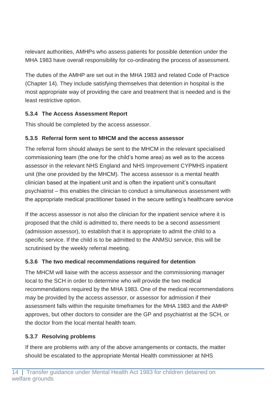relevant authorities, AMHPs who assess patients for possible detention under the MHA 1983 have overall responsibility for co-ordinating the process of assessment.

The duties of the AMHP are set out in the MHA 1983 and related Code of Practice (Chapter 14). They include satisfying themselves that detention in hospital is the most appropriate way of providing the care and treatment that is needed and is the least restrictive option.

## <span id="page-14-0"></span>**5.3.4 The Access Assessment Report**

This should be completed by the access assessor.

## <span id="page-14-1"></span>**5.3.5 Referral form sent to MHCM and the access assessor**

The referral form should always be sent to the MHCM in the relevant specialised commissioning team (the one for the child's home area) as well as to the access assessor in the relevant NHS England and NHS Improvement CYPMHS inpatient unit (the one provided by the MHCM). The access assessor is a mental health clinician based at the inpatient unit and is often the inpatient unit's consultant psychiatrist – this enables the clinician to conduct a simultaneous assessment with the appropriate medical practitioner based in the secure setting's healthcare service

If the access assessor is not also the clinician for the inpatient service where it is proposed that the child is admitted to, there needs to be a second assessment (admission assessor), to establish that it is appropriate to admit the child to a specific service. If the child is to be admitted to the ANMSU service, this will be scrutinised by the weekly referral meeting.

## <span id="page-14-2"></span>**5.3.6 The two medical recommendations required for detention**

The MHCM will liaise with the access assessor and the commissioning manager local to the SCH in order to determine who will provide the two medical recommendations required by the MHA 1983. One of the medical recommendations may be provided by the access assessor, or assessor for admission if their assessment falls within the requisite timeframes for the MHA 1983 and the AMHP approves, but other doctors to consider are the GP and psychiatrist at the SCH, or the doctor from the local mental health team.

## <span id="page-14-3"></span>**5.3.7 Resolving problems**

If there are problems with any of the above arrangements or contacts, the matter should be escalated to the appropriate Mental Health commissioner at NHS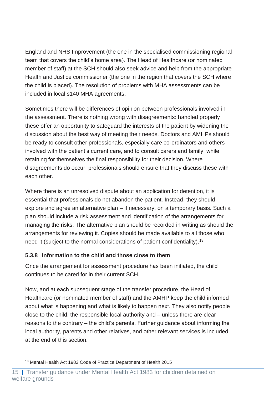England and NHS Improvement (the one in the specialised commissioning regional team that covers the child's home area). The Head of Healthcare (or nominated member of staff) at the SCH should also seek advice and help from the appropriate Health and Justice commissioner (the one in the region that covers the SCH where the child is placed). The resolution of problems with MHA assessments can be included in local s140 MHA agreements.

Sometimes there will be differences of opinion between professionals involved in the assessment. There is nothing wrong with disagreements: handled properly these offer an opportunity to safeguard the interests of the patient by widening the discussion about the best way of meeting their needs. Doctors and AMHPs should be ready to consult other professionals, especially care co-ordinators and others involved with the patient's current care, and to consult carers and family, while retaining for themselves the final responsibility for their decision. Where disagreements do occur, professionals should ensure that they discuss these with each other.

Where there is an unresolved dispute about an application for detention, it is essential that professionals do not abandon the patient. Instead, they should explore and agree an alternative plan – if necessary, on a temporary basis. Such a plan should include a risk assessment and identification of the arrangements for managing the risks. The alternative plan should be recorded in writing as should the arrangements for reviewing it. Copies should be made available to all those who need it (subject to the normal considerations of patient confidentiality).<sup>18</sup>

#### <span id="page-15-0"></span>**5.3.8 Information to the child and those close to them**

Once the arrangement for assessment procedure has been initiated, the child continues to be cared for in their current SCH.

Now, and at each subsequent stage of the transfer procedure, the Head of Healthcare (or nominated member of staff) and the AMHP keep the child informed about what is happening and what is likely to happen next. They also notify people close to the child, the responsible local authority and – unless there are clear reasons to the contrary – the child's parents. Further guidance about informing the local authority, parents and other relatives, and other relevant services is included at the end of this section.

<sup>18</sup> Mental Health Act 1983 Code of Practice Department of Health 2015

<sup>15 |</sup> Transfer guidance under Mental Health Act 1983 for children detained on welfare grounds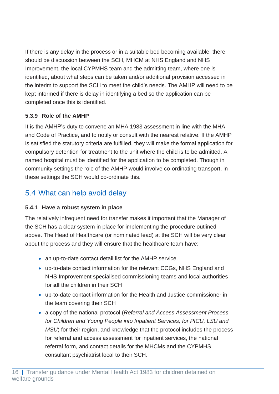If there is any delay in the process or in a suitable bed becoming available, there should be discussion between the SCH, MHCM at NHS England and NHS Improvement, the local CYPMHS team and the admitting team, where one is identified, about what steps can be taken and/or additional provision accessed in the interim to support the SCH to meet the child's needs. The AMHP will need to be kept informed if there is delay in identifying a bed so the application can be completed once this is identified.

## <span id="page-16-0"></span>**5.3.9 Role of the AMHP**

It is the AMHP's duty to convene an MHA 1983 assessment in line with the MHA and Code of Practice, and to notify or consult with the nearest relative. If the AMHP is satisfied the statutory criteria are fulfilled, they will make the formal application for compulsory detention for treatment to the unit where the child is to be admitted. A named hospital must be identified for the application to be completed. Though in community settings the role of the AMHP would involve co-ordinating transport, in these settings the SCH would co-ordinate this.

# <span id="page-16-1"></span>5.4 What can help avoid delay

## <span id="page-16-2"></span>**5.4.1 Have a robust system in place**

The relatively infrequent need for transfer makes it important that the Manager of the SCH has a clear system in place for implementing the procedure outlined above. The Head of Healthcare (or nominated lead) at the SCH will be very clear about the process and they will ensure that the healthcare team have:

- an up-to-date contact detail list for the AMHP service
- up-to-date contact information for the relevant CCGs, NHS England and NHS Improvement specialised commissioning teams and local authorities for **all** the children in their SCH
- up-to-date contact information for the Health and Justice commissioner in the team covering their SCH
- a copy of the national protocol (*Referral and Access Assessment Process for Children and Young People into Inpatient Services, for PICU, LSU and MSU*) for their region, and knowledge that the protocol includes the process for referral and access assessment for inpatient services, the national referral form, and contact details for the MHCMs and the CYPMHS consultant psychiatrist local to their SCH.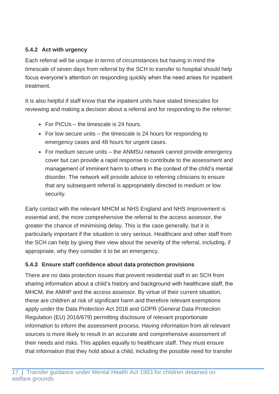## <span id="page-17-0"></span>**5.4.2 Act with urgency**

Each referral will be unique in terms of circumstances but having in mind the timescale of seven days from referral by the SCH to transfer to hospital should help focus everyone's attention on responding quickly when the need arises for inpatient treatment.

It is also helpful if staff know that the inpatient units have stated timescales for reviewing and making a decision about a referral and for responding to the referrer:

- For PICUs the timescale is 24 hours.
- For low secure units the timescale is 24 hours for responding to emergency cases and 48 hours for urgent cases.
- For medium secure units the ANMSU network cannot provide emergency cover but can provide a rapid response to contribute to the assessment and management of imminent harm to others in the context of the child's mental disorder. The network will provide advice to referring clinicians to ensure that any subsequent referral is appropriately directed to medium or low security.

Early contact with the relevant MHCM at NHS England and NHS Improvement is essential and, the more comprehensive the referral to the access assessor, the greater the chance of minimising delay. This is the case generally, but it is particularly important if the situation is very serious. Healthcare and other staff from the SCH can help by giving their view about the severity of the referral, including, if appropriate, why they consider it to be an emergency.

## <span id="page-17-1"></span>**5.4.3 Ensure staff confidence about data protection provisions**

There are no data protection issues that prevent residential staff in an SCH from sharing information about a child's history and background with healthcare staff, the MHCM, the AMHP and the access assessor. By virtue of their current situation, these are children at risk of significant harm and therefore relevant exemptions apply under the Data Protection Act 2018 and GDPR (General Data Protection Regulation (EU) 2016/679) permitting disclosure of relevant proportionate information to inform the assessment process. Having information from all relevant sources is more likely to result in an accurate and comprehensive assessment of their needs and risks. This applies equally to healthcare staff. They must ensure that information that they hold about a child, including the possible need for transfer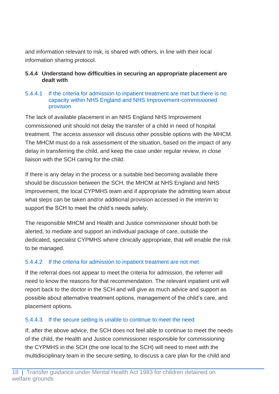and information relevant to risk, is shared with others, in line with their local information sharing protocol.

#### <span id="page-18-0"></span>**5.4.4 Understand how difficulties in securing an appropriate placement are dealt with**

#### 5.4.4.1 If the criteria for admission to inpatient treatment are met but there is no capacity within NHS England and NHS Improvement-commissioned provision

The lack of available placement in an NHS England NHS Improvement commissioned unit should not delay the transfer of a child in need of hospital treatment. The access assessor will discuss other possible options with the MHCM. The MHCM must do a risk assessment of the situation, based on the impact of any delay in transferring the child, and keep the case under regular review, in close liaison with the SCH caring for the child.

If there is any delay in the process or a suitable bed becoming available there should be discussion between the SCH, the MHCM at NHS England and NHS Improvement, the local CYPMHS team and if appropriate the admitting team about what steps can be taken and/or additional provision accessed in the interim to support the SCH to meet the child's needs safely.

The responsible MHCM and Health and Justice commissioner should both be alerted, to mediate and support an individual package of care, outside the dedicated, specialist CYPMHS where clinically appropriate, that will enable the risk to be managed.

#### 5.4.4.2 If the criteria for admission to inpatient treatment are not met

If the referral does not appear to meet the criteria for admission, the referrer will need to know the reasons for that recommendation. The relevant inpatient unit will report back to the doctor in the SCH and will give as much advice and support as possible about alternative treatment options, management of the child's care, and placement options.

#### 5.4.4.3 If the secure setting is unable to continue to meet the need

If, after the above advice, the SCH does not feel able to continue to meet the needs of the child, the Health and Justice commissioner responsible for commissioning the CYPMHS in the SCH (the one local to the SCH) will need to meet with the multidisciplinary team in the secure setting, to discuss a care plan for the child and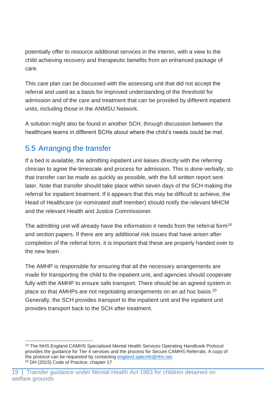potentially offer to resource additional services in the interim, with a view to the child achieving recovery and therapeutic benefits from an enhanced package of care.

This care plan can be discussed with the assessing unit that did not accept the referral and used as a basis for improved understanding of the threshold for admission and of the care and treatment that can be provided by different inpatient units, including those in the ANMSU Network.

A solution might also be found in another SCH, through discussion between the healthcare teams in different SCHs about where the child's needs could be met.

# <span id="page-19-0"></span>5.5 Arranging the transfer

If a bed is available, the admitting inpatient unit liaises directly with the referring clinician to agree the timescale and process for admission. This is done verbally, so that transfer can be made as quickly as possible, with the full written report sent later. Note that transfer should take place within seven days of the SCH making the referral for inpatient treatment. If it appears that this may be difficult to achieve, the Head of Healthcare (or nominated staff member) should notify the relevant MHCM and the relevant Health and Justice Commissioner.

The admitting unit will already have the information it needs from the referral form<sup>19</sup> and section papers. If there are any additional risk issues that have arisen after completion of the referral form, it is important that these are properly handed over to the new team.

The AMHP is responsible for ensuring that all the necessary arrangements are made for transporting the child to the inpatient unit, and agencies should cooperate fully with the AMHP to ensure safe transport. There should be an agreed system in place so that AMHPs are not negotiating arrangements on an ad hoc basis.<sup>20</sup> Generally, the SCH provides transport to the inpatient unit and the inpatient unit provides transport back to the SCH after treatment.

<sup>19</sup> The NHS England CAMHS Specialised Mental Health Services Operating Handbook Protocol provides the guidance for Tier 4 services and the process for Secure CAMHS Referrals. A copy of the protocol can be requested by contacting [england.specmh@nhs.net.](mailto:england.specmh@nhs.net) <sup>20</sup> DH (2015) Code of Practice, chapter 17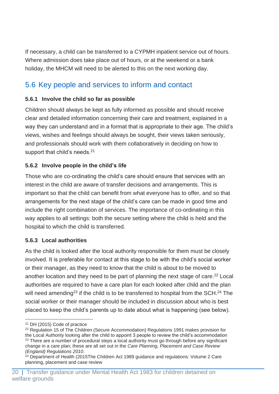If necessary, a child can be transferred to a CYPMH inpatient service out of hours. Where admission does take place out of hours, or at the weekend or a bank holiday, the MHCM will need to be alerted to this on the next working day.

# <span id="page-20-0"></span>5.6 Key people and services to inform and contact

## <span id="page-20-1"></span>**5.6.1 Involve the child so far as possible**

Children should always be kept as fully informed as possible and should receive clear and detailed information concerning their care and treatment, explained in a way they can understand and in a format that is appropriate to their age. The child's views, wishes and feelings should always be sought, their views taken seriously, and professionals should work with them collaboratively in deciding on how to support that child's needs.<sup>21</sup>

## <span id="page-20-2"></span>**5.6.2 Involve people in the child's life**

Those who are co-ordinating the child's care should ensure that services with an interest in the child are aware of transfer decisions and arrangements. This is important so that the child can benefit from what everyone has to offer, and so that arrangements for the next stage of the child's care can be made in good time and include the right combination of services. The importance of co-ordinating in this way applies to all settings: both the secure setting where the child is held and the hospital to which the child is transferred.

## <span id="page-20-3"></span>**5.6.3 Local authorities**

As the child is looked after the local authority responsible for them must be closely involved. It is preferable for contact at this stage to be with the child's social worker or their manager, as they need to know that the child is about to be moved to another location and they need to be part of planning the next stage of care. <sup>22</sup> Local authorities are required to have a care plan for each looked after child and the plan will need amending<sup>23</sup> if the child is to be transferred to hospital from the SCH.<sup>24</sup> The social worker or their manager should be included in discussion about who is best placed to keep the child's parents up to date about what is happening (see below).

<sup>21</sup> DH (2015) Code of practice

<sup>&</sup>lt;sup>22</sup> Regulation 15 of The Children (Secure Accommodation) Regulations 1991 makes provision for the Local Authority looking after the child to appoint 3 people to review the child's accommodation <sup>23</sup> There are a number of procedural steps a local authority must go through before any significant change in a care plan; these are all set out in the *Care Planning, Placement and Case Review (England) Regulations 2010*.

 $24$  Department of Health (2015The Children Act 1989 guidance and regulations: Volume 2 Care planning, placement and case review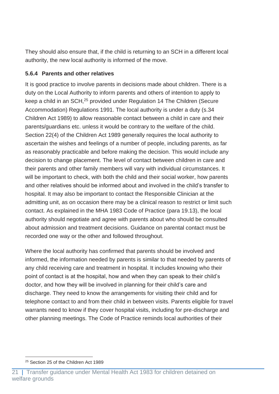They should also ensure that, if the child is returning to an SCH in a different local authority, the new local authority is informed of the move.

#### <span id="page-21-0"></span>**5.6.4 Parents and other relatives**

It is good practice to involve parents in decisions made about children. There is a duty on the Local Authority to inform parents and others of intention to apply to keep a child in an SCH,<sup>25</sup> provided under Regulation 14 The Children (Secure Accommodation) Regulations 1991. The local authority is under a duty (s.34 Children Act 1989) to allow reasonable contact between a child in care and their parents/guardians etc. unless it would be contrary to the welfare of the child. Section 22(4) of the Children Act 1989 generally requires the local authority to ascertain the wishes and feelings of a number of people, including parents, as far as reasonably practicable and before making the decision. This would include any decision to change placement. The level of contact between children in care and their parents and other family members will vary with individual circumstances. It will be important to check, with both the child and their social worker, how parents and other relatives should be informed about and involved in the child's transfer to hospital. It may also be important to contact the Responsible Clinician at the admitting unit, as on occasion there may be a clinical reason to restrict or limit such contact. As explained in the MHA 1983 Code of Practice (para 19.13), the local authority should negotiate and agree with parents about who should be consulted about admission and treatment decisions. Guidance on parental contact must be recorded one way or the other and followed throughout.

Where the local authority has confirmed that parents should be involved and informed, the information needed by parents is similar to that needed by parents of any child receiving care and treatment in hospital. It includes knowing who their point of contact is at the hospital, how and when they can speak to their child's doctor, and how they will be involved in planning for their child's care and discharge. They need to know the arrangements for visiting their child and for telephone contact to and from their child in between visits. Parents eligible for travel warrants need to know if they cover hospital visits, including for pre-discharge and other planning meetings. The Code of Practice reminds local authorities of their

<sup>25</sup> Section 25 of the Children Act 1989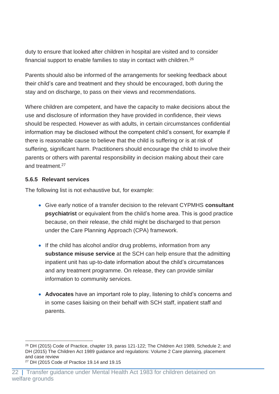duty to ensure that looked after children in hospital are visited and to consider financial support to enable families to stay in contact with children.<sup>26</sup>

Parents should also be informed of the arrangements for seeking feedback about their child's care and treatment and they should be encouraged, both during the stay and on discharge, to pass on their views and recommendations.

Where children are competent, and have the capacity to make decisions about the use and disclosure of information they have provided in confidence, their views should be respected. However as with adults, in certain circumstances confidential information may be disclosed without the competent child's consent, for example if there is reasonable cause to believe that the child is suffering or is at risk of suffering, significant harm. Practitioners should encourage the child to involve their parents or others with parental responsibility in decision making about their care and treatment. 27

#### <span id="page-22-0"></span>**5.6.5 Relevant services**

The following list is not exhaustive but, for example:

- Give early notice of a transfer decision to the relevant CYPMHS **consultant psychiatrist** or equivalent from the child's home area. This is good practice because, on their release, the child might be discharged to that person under the Care Planning Approach (CPA) framework.
- If the child has alcohol and/or drug problems, information from any **substance misuse service** at the SCH can help ensure that the admitting inpatient unit has up-to-date information about the child's circumstances and any treatment programme. On release, they can provide similar information to community services.
- **Advocates** have an important role to play, listening to child's concerns and in some cases liaising on their behalf with SCH staff, inpatient staff and parents.

<sup>&</sup>lt;sup>26</sup> DH (2015) Code of Practice, chapter 19, paras 121-122; The Children Act 1989, Schedule 2; and DH (2015) The Children Act 1989 guidance and regulations: Volume 2 Care planning, placement and case review

<sup>27</sup> DH (2015 Code of Practice 19.14 and 19.15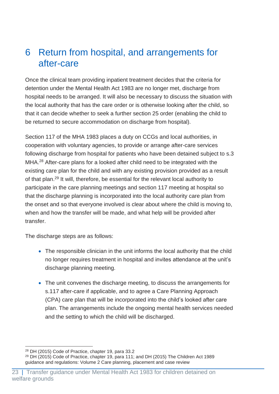# <span id="page-23-0"></span>6 Return from hospital, and arrangements for after-care

Once the clinical team providing inpatient treatment decides that the criteria for detention under the Mental Health Act 1983 are no longer met, discharge from hospital needs to be arranged. It will also be necessary to discuss the situation with the local authority that has the care order or is otherwise looking after the child, so that it can decide whether to seek a further section 25 order (enabling the child to be returned to secure accommodation on discharge from hospital).

Section 117 of the MHA 1983 places a duty on CCGs and local authorities, in cooperation with voluntary agencies, to provide or arrange after-care services following discharge from hospital for patients who have been detained subject to s.3 MHA.<sup>28</sup> After-care plans for a looked after child need to be integrated with the existing care plan for the child and with any existing provision provided as a result of that plan.<sup>29</sup> It will, therefore, be essential for the relevant local authority to participate in the care planning meetings and section 117 meeting at hospital so that the discharge planning is incorporated into the local authority care plan from the onset and so that everyone involved is clear about where the child is moving to, when and how the transfer will be made, and what help will be provided after transfer.

The discharge steps are as follows:

- The responsible clinician in the unit informs the local authority that the child no longer requires treatment in hospital and invites attendance at the unit's discharge planning meeting.
- The unit convenes the discharge meeting, to discuss the arrangements for s.117 after-care if applicable, and to agree a Care Planning Approach (CPA) care plan that will be incorporated into the child's looked after care plan. The arrangements include the ongoing mental health services needed and the setting to which the child will be discharged.

<sup>28</sup> DH (2015) Code of Practice, chapter 19, para 33.2

 $29$  DH (2015) Code of Practice, chapter 19, para 111; and DH (2015) The Children Act 1989 guidance and regulations: Volume 2 Care planning, placement and case review

<sup>23 |</sup> Transfer guidance under Mental Health Act 1983 for children detained on welfare grounds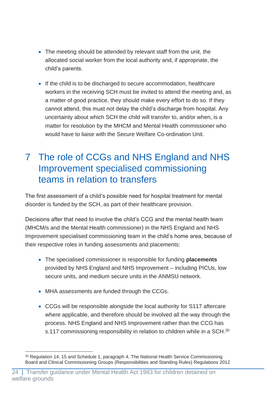- The meeting should be attended by relevant staff from the unit, the allocated social worker from the local authority and, if appropriate, the child's parents.
- If the child is to be discharged to secure accommodation, healthcare workers in the receiving SCH must be invited to attend the meeting and, as a matter of good practice, they should make every effort to do so. If they cannot attend, this must not delay the child's discharge from hospital. Any uncertainty about which SCH the child will transfer to, and/or when, is a matter for resolution by the MHCM and Mental Health commissioner who would have to liaise with the Secure Welfare Co-ordination Unit.

# <span id="page-24-0"></span>7 The role of CCGs and NHS England and NHS Improvement specialised commissioning teams in relation to transfers

The first assessment of a child's possible need for hospital treatment for mental disorder is funded by the SCH, as part of their healthcare provision.

Decisions after that need to involve the child's CCG and the mental health team (MHCM/s and the Mental Health commissioner) in the NHS England and NHS Improvement specialised commissioning team in the child's home area, because of their respective roles in funding assessments and placements:

- The specialised commissioner is responsible for funding **placements** provided by NHS England and NHS Improvement – including PICUs, low secure units, and medium secure units in the ANMSU network.
- MHA assessments are funded through the CCGs.
- CCGs will be responsible alongside the local authority for S117 aftercare where applicable, and therefore should be involved all the way through the process. NHS England and NHS Improvement rather than the CCG has s.117 commissioning responsibility in relation to children while in a SCH.<sup>30</sup>

<sup>&</sup>lt;sup>30</sup> Regulation 14, 15 and Schedule 1, paragraph 4, The National Health Service Commissioning Board and Clinical Commissioning Groups (Responsibilities and Standing Rules) Regulations 2012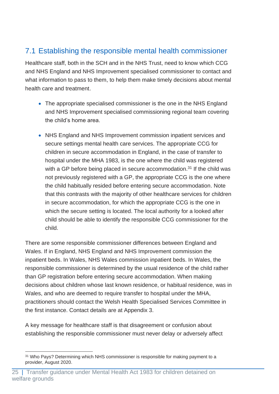# <span id="page-25-0"></span>7.1 Establishing the responsible mental health commissioner

Healthcare staff, both in the SCH and in the NHS Trust, need to know which CCG and NHS England and NHS Improvement specialised commissioner to contact and what information to pass to them, to help them make timely decisions about mental health care and treatment.

- The appropriate specialised commissioner is the one in the NHS England and NHS Improvement specialised commissioning regional team covering the child's home area.
- NHS England and NHS Improvement commission inpatient services and secure settings mental health care services. The appropriate CCG for children in secure accommodation in England, in the case of transfer to hospital under the MHA 1983, is the one where the child was registered with a GP before being placed in secure accommodation.<sup>31</sup> If the child was not previously registered with a GP, the appropriate CCG is the one where the child habitually resided before entering secure accommodation. Note that this contrasts with the majority of other healthcare services for children in secure accommodation, for which the appropriate CCG is the one in which the secure setting is located. The local authority for a looked after child should be able to identify the responsible CCG commissioner for the child.

There are some responsible commissioner differences between England and Wales. If in England, NHS England and NHS Improvement commission the inpatient beds. In Wales, NHS Wales commission inpatient beds. In Wales, the responsible commissioner is determined by the usual residence of the child rather than GP registration before entering secure accommodation. When making decisions about children whose last known residence, or habitual residence, was in Wales, and who are deemed to require transfer to hospital under the MHA, practitioners should contact the Welsh Health Specialised Services Committee in the first instance. Contact details are at Appendix 3.

A key message for healthcare staff is that disagreement or confusion about establishing the responsible commissioner must never delay or adversely affect

<sup>&</sup>lt;sup>31</sup> Who Pays? Determining which NHS commissioner is responsible for making payment to a provider, August 2020.

<sup>25 |</sup> Transfer guidance under Mental Health Act 1983 for children detained on welfare grounds